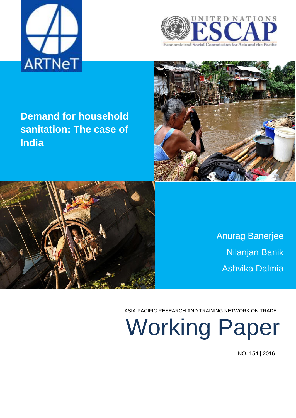





# **Demand for household sanitation: The case of India**



Anurag Banerjee Nilanjan Banik Ashvika Dalmia

ASIA-PACIFIC RESEARCH AND TRAINING NETWORK ON TRADE

Working Paper

NO. 154 | 2016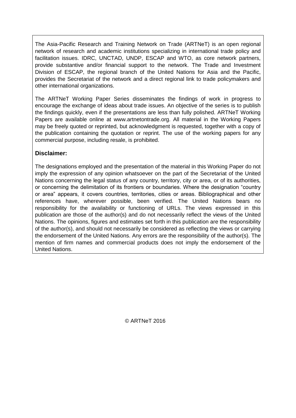The Asia-Pacific Research and Training Network on Trade (ARTNeT) is an open regional network of research and academic institutions specializing in international trade policy and facilitation issues. IDRC, UNCTAD, UNDP, ESCAP and WTO, as core network partners, provide substantive and/or financial support to the network. The Trade and Investment Division of ESCAP, the regional branch of the United Nations for Asia and the Pacific, provides the Secretariat of the network and a direct regional link to trade policymakers and other international organizations.

The ARTNeT Working Paper Series disseminates the findings of work in progress to encourage the exchange of ideas about trade issues. An objective of the series is to publish the findings quickly, even if the presentations are less than fully polished. ARTNeT Working Papers are available online at www.artnetontrade.org. All material in the Working Papers may be freely quoted or reprinted, but acknowledgment is requested, together with a copy of the publication containing the quotation or reprint. The use of the working papers for any commercial purpose, including resale, is prohibited.

## **Disclaimer:**

The designations employed and the presentation of the material in this Working Paper do not imply the expression of any opinion whatsoever on the part of the Secretariat of the United Nations concerning the legal status of any country, territory, city or area, or of its authorities, or concerning the delimitation of its frontiers or boundaries. Where the designation "country or area" appears, it covers countries, territories, cities or areas. Bibliographical and other references have, wherever possible, been verified. The United Nations bears no responsibility for the availability or functioning of URLs. The views expressed in this publication are those of the author(s) and do not necessarily reflect the views of the United Nations. The opinions, figures and estimates set forth in this publication are the responsibility of the author(s), and should not necessarily be considered as reflecting the views or carrying the endorsement of the United Nations. Any errors are the responsibility of the author(s). The mention of firm names and commercial products does not imply the endorsement of the United Nations.

© ARTNeT 2016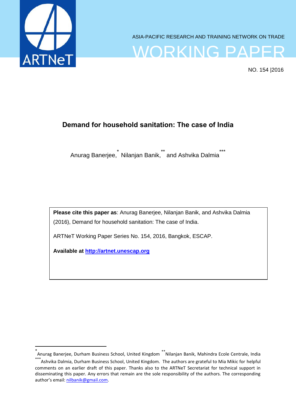

 $\overline{a}$ 

ASIA-PACIFIC RESEARCH AND TRAINING NETWORK ON TRADE



NO. 154 |2016

# **Demand for household sanitation: The case of India**

Anurag Banerjee, \* Nilanjan Banik,\*\* and Ashvika Dalmia\*\*\*

**Please cite this paper as**: Anurag Banerjee, Nilanjan Banik, and Ashvika Dalmia (2016), Demand for household sanitation: The case of India.

ARTNeT Working Paper Series No. 154, 2016, Bangkok, ESCAP.

**Available at [http://artnet.unescap.org](http://artnet.unescap.org/)** 

<sup>\*&</sup>lt;br>Anurag Banerjee, Durham Business School, United Kingdom \*\*Nilanjan Banik, Mahindra Ecole Centrale, India  $^{*}$ Ashvika Dalmia, Durham Business School, United Kingdom. The authors are grateful to Mia Mikic for helpful comments on an earlier draft of this paper. Thanks also to the ARTNeT Secretariat for technical support in disseminating this paper. Any errors that remain are the sole responsibility of the authors. The corresponding author's email: [nilbanik@gmail.com.](mailto:nilbanik@gmail.com)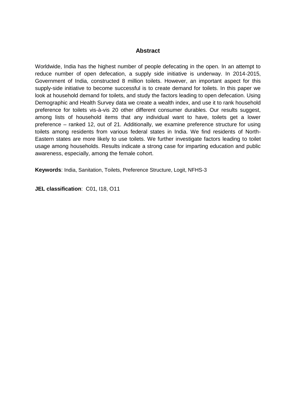## **Abstract**

Worldwide, India has the highest number of people defecating in the open. In an attempt to reduce number of open defecation, a supply side initiative is underway. In 2014-2015, Government of India, constructed 8 million toilets. However, an important aspect for this supply-side initiative to become successful is to create demand for toilets. In this paper we look at household demand for toilets, and study the factors leading to open defecation. Using Demographic and Health Survey data we create a wealth index, and use it to rank household preference for toilets vis-à-vis 20 other different consumer durables. Our results suggest, among lists of household items that any individual want to have, toilets get a lower preference – ranked 12, out of 21. Additionally, we examine preference structure for using toilets among residents from various federal states in India. We find residents of North-Eastern states are more likely to use toilets. We further investigate factors leading to toilet usage among households. Results indicate a strong case for imparting education and public awareness, especially, among the female cohort.

**Keywords**: India, Sanitation, Toilets, Preference Structure, Logit, NFHS-3

**JEL classification**: C01, I18, O11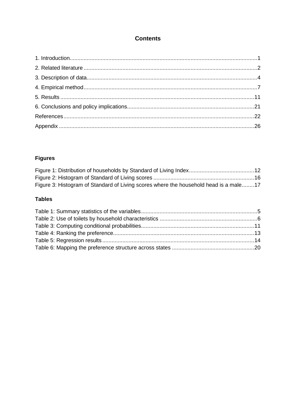# **Contents**

# **Figures**

| Figure 3: Histogram of Standard of Living scores where the household head is a male17 |  |
|---------------------------------------------------------------------------------------|--|

## **Tables**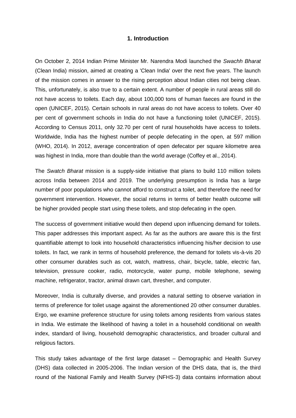#### **1. Introduction**

<span id="page-5-0"></span>On October 2, 2014 Indian Prime Minister Mr. Narendra Modi launched the *Swachh Bharat* (Clean India) mission, aimed at creating a 'Clean India' over the next five years. The launch of the mission comes in answer to the rising perception about Indian cities not being clean. This, unfortunately, is also true to a certain extent. A number of people in rural areas still do not have access to toilets. Each day, about 100,000 tons of human faeces are found in the open (UNICEF, 2015). Certain schools in rural areas do not have access to toilets. Over 40 per cent of government schools in India do not have a functioning toilet (UNICEF, 2015). According to Census 2011, only 32.70 per cent of rural households have access to toilets. Worldwide, India has the highest number of people defecating in the open, at 597 million (WHO, 2014). In 2012, average concentration of open defecator per square kilometre area was highest in India, more than double than the world average (Coffey et al., 2014).

The *Swatch Bharat* mission is a supply-side initiative that plans to build 110 million toilets across India between 2014 and 2019. The underlying presumption is India has a large number of poor populations who cannot afford to construct a toilet, and therefore the need for government intervention. However, the social returns in terms of better health outcome will be higher provided people start using these toilets, and stop defecating in the open.

The success of government initiative would then depend upon influencing demand for toilets. This paper addresses this important aspect. As far as the authors are aware this is the first quantifiable attempt to look into household characteristics influencing his/her decision to use toilets. In fact, we rank in terms of household preference, the demand for toilets vis-à-vis 20 other consumer durables such as cot, watch, mattress, chair, bicycle, table, electric fan, television, pressure cooker, radio, motorcycle, water pump, mobile telephone, sewing machine, refrigerator, tractor, animal drawn cart, thresher, and computer.

Moreover, India is culturally diverse, and provides a natural setting to observe variation in terms of preference for toilet usage against the aforementioned 20 other consumer durables. Ergo, we examine preference structure for using toilets among residents from various states in India. We estimate the likelihood of having a toilet in a household conditional on wealth index, standard of living, household demographic characteristics, and broader cultural and religious factors.

This study takes advantage of the first large dataset – Demographic and Health Survey (DHS) data collected in 2005-2006. The Indian version of the DHS data, that is, the third round of the National Family and Health Survey (NFHS-3) data contains information about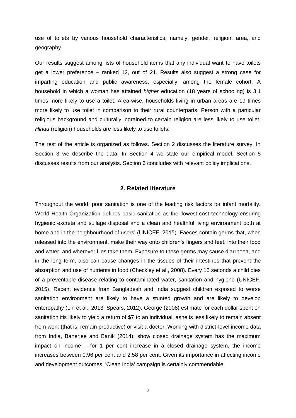use of toilets by various household characteristics, namely, gender, religion, area, and geography.

Our results suggest among lists of household items that any individual want to have toilets get a lower preference – ranked 12, out of 21. Results also suggest a strong case for imparting education and public awareness, especially, among the female cohort. A household in which a woman has attained *higher* education (18 years of schooling) is 3.1 times more likely to use a toilet. Area-wise, households living in urban areas are 19 times more likely to use toilet in comparison to their rural counterparts. Person with a particular religious background and culturally ingrained to certain religion are less likely to use toilet. *Hindu* (religion) households are less likely to use toilets.

The rest of the article is organized as follows. Section 2 discusses the literature survey. In Section 3 we describe the data. In Section 4 we state our empirical model. Section 5 discusses results from our analysis. Section 6 concludes with relevant policy implications.

#### **2. Related literature**

<span id="page-6-0"></span>Throughout the world, poor sanitation is one of the leading risk factors for infant mortality. World Health Organization defines basic sanitation as the 'lowest-cost technology ensuring hygienic excreta and sullage disposal and a clean and healthful living environment both at home and in the neighbourhood of users' (UNICEF, 2015). Faeces contain germs that, when released into the environment, make their way onto children's fingers and feet, into their food and water, and wherever flies take them. Exposure to these germs may cause diarrhoea, and in the long term, also can cause changes in the tissues of their intestines that prevent the absorption and use of nutrients in food (Checkley et al., 2008). Every 15 seconds a child dies of a preventable disease relating to contaminated water, sanitation and hygiene (UNICEF, 2015). Recent evidence from Bangladesh and India suggest children exposed to worse sanitation environment are likely to have a stunted growth and are likely to develop enteropathy (Lin et al., 2013; Spears, 2012). George (2008) estimate for each dollar spent on sanitation itis likely to yield a return of \$7 to an individual, ashe is less likely to remain absent from work (that is, remain productive) or visit a doctor. Working with district-level income data from India, Banerjee and Banik (2014), show closed drainage system has the maximum impact on income – for 1 per cent increase in a closed drainage system, the income increases between 0.96 per cent and 2.58 per cent. Given its importance in affecting income and development outcomes, 'Clean India' campaign is certainly commendable.

2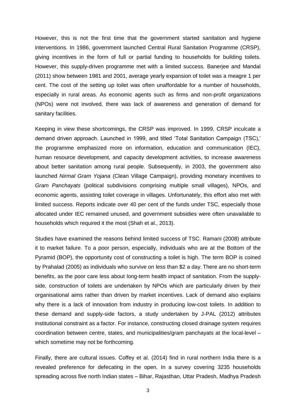However, this is not the first time that the government started sanitation and hygiene interventions. In 1986, government launched Central Rural Sanitation Programme (CRSP), giving incentives in the form of full or partial funding to households for building toilets. However, this supply-driven programme met with a limited success. Banerjee and Mandal (2011) show between 1981 and 2001, average yearly expansion of toilet was a meagre 1 per cent. The cost of the setting up toilet was often unaffordable for a number of households, especially in rural areas. As economic agents such as firms and non-profit organizations (NPOs) were not involved, there was lack of awareness and generation of demand for sanitary facilities.

Keeping in view these shortcomings, the CRSP was improved. In 1999, CRSP inculcate a demand driven approach. Launched in 1999, and titled 'Total Sanitation Campaign (TSC),' the programme emphasized more on information, education and communication (IEC), human resource development, and capacity development activities, to increase awareness about better sanitation among rural people. Subsequently, in 2003, the government also launched *Nirmal Gram Yojana* (Clean Village Campaign), providing monetary incentives to *Gram Panchayats* (political subdivisions comprising multiple small villages), NPOs, and economic agents, assisting toilet coverage in villages. Unfortunately, this effort also met with limited success. Reports indicate over 40 per cent of the funds under TSC, especially those allocated under IEC remained unused, and government subsidies were often unavailable to households which required it the most (Shah et al., 2013).

Studies have examined the reasons behind limited success of TSC. Ramani (2008) attribute it to market failure. To a poor person, especially, individuals who are at the Bottom of the Pyramid (BOP), the opportunity cost of constructing a toilet is high. The term BOP is coined by Prahalad (2005) as individuals who survive on less than \$2 a day. There are no short-term benefits, as the poor care less about long-term health impact of sanitation. From the supplyside, construction of toilets are undertaken by NPOs which are particularly driven by their organisational aims rather than driven by market incentives. Lack of demand also explains why there is a lack of innovation from industry in producing low-cost toilets. In addition to these demand and supply-side factors, a study undertaken by J-PAL (2012) attributes institutional constraint as a factor. For instance, constructing closed drainage system requires coordination between centre, states, and municipalities/gram panchayats at the local-level – which sometime may not be forthcoming.

Finally, there are cultural issues. Coffey et al. (2014) find in rural northern India there is a revealed preference for defecating in the open. In a survey covering 3235 households spreading across five north Indian states – Bihar, Rajasthan, Uttar Pradesh, Madhya Pradesh

3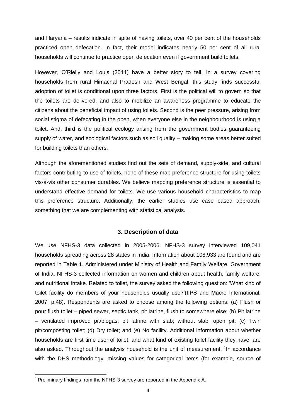and Haryana – results indicate in spite of having toilets, over 40 per cent of the households practiced open defecation. In fact, their model indicates nearly 50 per cent of all rural households will continue to practice open defecation even if government build toilets.

However, O'Rielly and Louis (2014) have a better story to tell. In a survey covering households from rural Himachal Pradesh and West Bengal, this study finds successful adoption of toilet is conditional upon three factors. First is the political will to govern so that the toilets are delivered, and also to mobilize an awareness programme to educate the citizens about the beneficial impact of using toilets. Second is the peer pressure, arising from social stigma of defecating in the open, when everyone else in the neighbourhood is using a toilet. And, third is the political ecology arising from the government bodies guaranteeing supply of water, and ecological factors such as soil quality – making some areas better suited for building toilets than others.

Although the aforementioned studies find out the sets of demand, supply-side, and cultural factors contributing to use of toilets, none of these map preference structure for using toilets vis-à-vis other consumer durables. We believe mapping preference structure is essential to understand effective demand for toilets. We use various household characteristics to map this preference structure. Additionally, the earlier studies use case based approach, something that we are complementing with statistical analysis.

## **3. Description of data**

<span id="page-8-0"></span>We use NFHS-3 data collected in 2005-2006. NFHS-3 survey interviewed 109,041 households spreading across 28 states in India. Information about 108,933 are found and are reported in Table 1. Administered under Ministry of Health and Family Welfare, Government of India, NFHS-3 collected information on women and children about health, family welfare, and nutritional intake. Related to toilet, the survey asked the following question: 'What kind of toilet facility do members of your households usually use?'(IIPS and Macro International, 2007, p.48). Respondents are asked to choose among the following options: (a) Flush or pour flush toilet – piped sewer, septic tank, pit latrine, flush to somewhere else; (b) Pit latrine – ventilated improved pit/biogas; pit latrine with slab; without slab, open pit; (c) Twin pit/composting toilet; (d) Dry toilet; and (e) No facility. Additional information about whether households are first time user of toilet, and what kind of existing toilet facility they have, are also asked. Throughout the analysis household is the unit of measurement.  $1$ In accordance with the DHS methodology, missing values for categorical items (for example, source of

 $\overline{\phantom{a}}$  $1$  Preliminary findings from the NFHS-3 survey are reported in the Appendix A.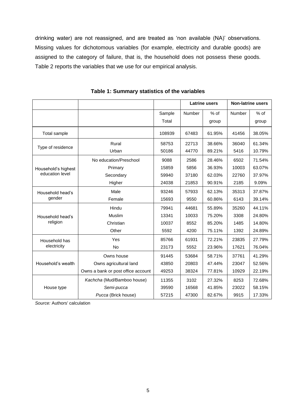drinking water) are not reassigned, and are treated as 'non available (NA)' observations. Missing values for dichotomous variables (for example, electricity and durable goods) are assigned to the category of failure, that is, the household does not possess these goods. Table 2 reports the variables that we use for our empirical analysis.

<span id="page-9-0"></span>

|                     |                                    |        | <b>Latrine users</b> |        | <b>Non-latrine users</b> |        |
|---------------------|------------------------------------|--------|----------------------|--------|--------------------------|--------|
|                     |                                    | Sample | Number               | $%$ of | Number                   | $%$ of |
|                     |                                    | Total  |                      | group  |                          | group  |
| Total sample        |                                    | 108939 | 67483                | 61.95% | 41456                    | 38.05% |
| Type of residence   | Rural                              | 58753  | 22713                | 38.66% | 36040                    | 61.34% |
|                     | Urban                              | 50186  | 44770                | 89.21% | 5416                     | 10.79% |
|                     | No education/Preschool             | 9088   | 2586                 | 28.46% | 6502                     | 71.54% |
| Household's highest | Primary                            | 15859  | 5856                 | 36.93% | 10003                    | 63.07% |
| education level     | Secondary                          | 59940  | 37180                | 62.03% | 22760                    | 37.97% |
|                     | Higher                             | 24038  | 21853                | 90.91% | 2185                     | 9.09%  |
| Household head's    | Male                               | 93246  | 57933                | 62.13% | 35313                    | 37.87% |
| gender              | Female                             | 15693  | 9550                 | 60.86% | 6143                     | 39.14% |
|                     | Hindu                              | 79941  | 44681                | 55.89% | 35260                    | 44.11% |
| Household head's    | Muslim                             | 13341  | 10033                | 75.20% | 3308                     | 24.80% |
| religion            | Christian                          | 10037  | 8552                 | 85.20% | 1485                     | 14.80% |
|                     | Other                              | 5592   | 4200                 | 75.11% | 1392                     | 24.89% |
| Household has       | Yes                                | 85766  | 61931                | 72.21% | 23835                    | 27.79% |
| electricity         | <b>No</b>                          | 23173  | 5552                 | 23.96% | 17621                    | 76.04% |
|                     | Owns house                         | 91445  | 53684                | 58.71% | 37761                    | 41.29% |
| Household's wealth  | Owns agricultural land             | 43850  | 20803                | 47.44% | 23047                    | 52.56% |
|                     | Owns a bank or post office account | 49253  | 38324                | 77.81% | 10929                    | 22.19% |
|                     | Kachcha (Mud/Bamboo house)         | 11355  | 3102                 | 27.32% | 8253                     | 72.68% |
| House type          | Semi-pucca                         | 39590  | 16568                | 41.85% | 23022                    | 58.15% |
|                     | Pucca (Brick house)                | 57215  | 47300                | 82.67% | 9915                     | 17.33% |

**Table 1: Summary statistics of the variables**

*Source:* Authors' calculation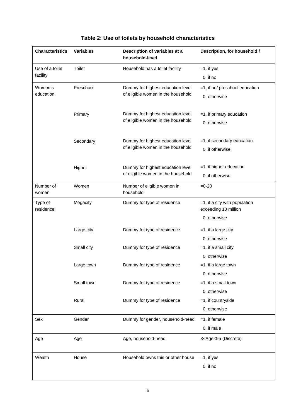<span id="page-10-0"></span>

| <b>Characteristics</b> | <b>Variables</b> | Description of variables at a<br>household-level | Description, for household i                          |
|------------------------|------------------|--------------------------------------------------|-------------------------------------------------------|
| Use of a toilet        | <b>Toilet</b>    | Household has a toilet facility                  | $=1$ , if yes                                         |
| facility               |                  |                                                  | 0, if no                                              |
| Women's                | Preschool        | Dummy for highest education level                | =1, if no/ preschool education                        |
| education              |                  | of eligible women in the household               | 0, otherwise                                          |
|                        | Primary          | Dummy for highest education level                | $=1$ , if primary education                           |
|                        |                  | of eligible women in the household               | 0, otherwise                                          |
|                        | Secondary        | Dummy for highest education level                | $=1$ , if secondary education                         |
|                        |                  | of eligible women in the household               | 0, if otherwise                                       |
|                        | Higher           | Dummy for highest education level                | $=1$ , if higher education                            |
|                        |                  | of eligible women in the household               | 0, if otherwise                                       |
| Number of<br>women     | Women            | Number of eligible women in<br>household         | $=0-20$                                               |
| Type of<br>residence   | Megacity         | Dummy for type of residence                      | =1, if a city with population<br>exceeding 10 million |
|                        |                  |                                                  | 0, otherwise                                          |
|                        | Large city       | Dummy for type of residence                      | $=1$ , if a large city                                |
|                        |                  |                                                  | 0, otherwise                                          |
|                        | Small city       | Dummy for type of residence                      | $=1$ , if a small city                                |
|                        |                  |                                                  | 0, otherwise                                          |
|                        | Large town       | Dummy for type of residence                      | $=1$ , if a large town                                |
|                        |                  |                                                  | 0, otherwise                                          |
|                        | Small town       | Dummy for type of residence                      | $=1$ , if a small town                                |
|                        |                  |                                                  | 0, otherwise                                          |
|                        | Rural            | Dummy for type of residence                      | $=1$ , if countryside                                 |
|                        |                  |                                                  | 0, otherwise                                          |
| Sex                    | Gender           | Dummy for gender, household-head                 | $=1$ , if female                                      |
|                        |                  |                                                  | 0, if male                                            |
| Age                    | Age              | Age, household-head                              | 3 <age<95 (discrete)<="" td=""></age<95>              |
| Wealth                 | House            | Household owns this or other house               | $=1$ , if yes                                         |
|                        |                  |                                                  | $0$ , if no                                           |
|                        |                  |                                                  |                                                       |

# **Table 2: Use of toilets by household characteristics**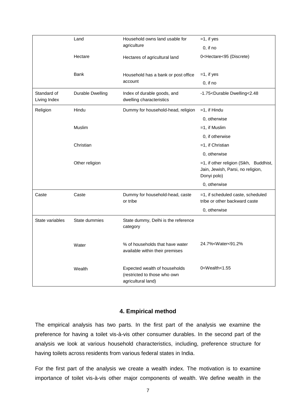|                             | Land                    | Household owns land usable for<br>agriculture                                       | $=1$ , if yes                                                                              |
|-----------------------------|-------------------------|-------------------------------------------------------------------------------------|--------------------------------------------------------------------------------------------|
|                             |                         |                                                                                     | $0,$ if no                                                                                 |
|                             | Hectare                 | Hectares of agricultural land                                                       | 0 <hectare<95 (discrete)<="" td=""></hectare<95>                                           |
|                             | <b>Bank</b>             | Household has a bank or post office                                                 | $=1$ , if yes                                                                              |
|                             |                         | account                                                                             | $0$ , if no                                                                                |
| Standard of<br>Living Index | <b>Durable Dwelling</b> | Index of durable goods, and<br>dwelling characteristics                             | -1.75 <durable dwelling<2.48<="" td=""></durable>                                          |
| Religion                    | Hindu                   | Dummy for household-head, religion                                                  | $=1$ , if Hindu                                                                            |
|                             |                         |                                                                                     | 0, otherwise                                                                               |
|                             | Muslim                  |                                                                                     | $=1$ , if Muslim                                                                           |
|                             |                         |                                                                                     | 0, if otherwise                                                                            |
|                             | Christian               |                                                                                     | $=1$ , if Christian                                                                        |
|                             |                         |                                                                                     | 0, otherwise                                                                               |
|                             | Other religion          |                                                                                     | =1, if other religion (Sikh, Buddhist,<br>Jain, Jewish, Parsi, no religion,<br>Donyi polo) |
|                             |                         |                                                                                     | 0, otherwise                                                                               |
| Caste                       | Caste                   | Dummy for household-head, caste<br>or tribe                                         | =1, if scheduled caste, scheduled<br>tribe or other backward caste                         |
|                             |                         |                                                                                     | 0, otherwise                                                                               |
| State variables             | State dummies           | State dummy, Delhi is the reference<br>category                                     |                                                                                            |
|                             | Water                   | % of households that have water<br>available within their premises                  | 24.7% <water<91.2%< td=""></water<91.2%<>                                                  |
|                             | Wealth                  | Expected wealth of households<br>(restricted to those who own<br>agricultural land) | 0 <wealth<1.55< td=""></wealth<1.55<>                                                      |

## **4. Empirical method**

<span id="page-11-0"></span>The empirical analysis has two parts. In the first part of the analysis we examine the preference for having a toilet vis-à-vis other consumer durables. In the second part of the analysis we look at various household characteristics, including, preference structure for having toilets across residents from various federal states in India.

For the first part of the analysis we create a wealth index. The motivation is to examine importance of toilet vis-à-vis other major components of wealth. We define wealth in the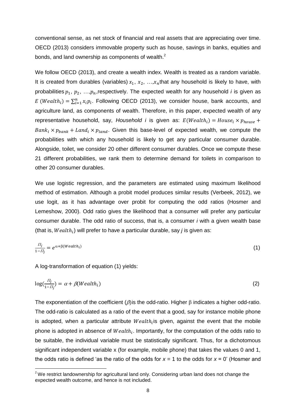conventional sense, as net stock of financial and real assets that are appreciating over time. OECD (2013) considers immovable property such as house, savings in banks, equities and bonds, and land ownership as components of wealth. $<sup>2</sup>$ </sup>

We follow OECD (2013), and create a wealth index. Wealth is treated as a random variable. It is created from durables (variables)  $x_1, x_2, ..., x_n$  that any household is likely to have, with probabilities  $p_1, p_2, ..., p_n$ , respectively. The expected wealth for any household *i* is given as E (Wealth<sub>i</sub>) =  $\sum_{i=1}^{n} x_i p_i$ . Following OECD (2013), we consider house, bank accounts, and agriculture land, as components of wealth. Therefore, in this paper, expected wealth of any representative household, say, *Household i* is given as:  $E(Weather_i) = House_i \times p_{house} +$  $Bank_i \times p_{bank} + Land_i \times p_{land}$ . Given this base-level of expected wealth, we compute the probabilities with which any household is likely to get any particular consumer durable. Alongside, toilet, we consider 20 other different consumer durables. Once we compute these 21 different probabilities, we rank them to determine demand for toilets in comparison to other 20 consumer durables.

We use logistic regression, and the parameters are estimated using maximum likelihood method of estimation. Although a probit model produces similar results (Verbeek, 2012), we use logit, as it has advantage over probit for computing the odd ratios (Hosmer and Lemeshow, 2000). Odd ratio gives the likelihood that a consumer will prefer any particular consumer durable. The odd ratio of success, that is, a consumer *i* with a given wealth base (that is,  $Wealth<sub>i</sub>$ ) will prefer to have a particular durable, say *j* is given as:

$$
\frac{\Pi_j}{1-\Pi_j} = e^{\alpha + \beta (Weath_i)} \tag{1}
$$

A log-transformation of equation (1) yields:

 $\overline{a}$ 

$$
\log(\frac{\Pi_j}{1-\Pi_j}) = \alpha + \beta(Wealth_i)
$$
\n(2)

The exponentiation of the coefficient ( $\beta$ ) is the odd-ratio. Higher  $\beta$  indicates a higher odd-ratio. The odd-ratio is calculated as a ratio of the event that a good, say for instance mobile phone is adopted, when a particular attribute  $Weak_i$  is given, against the event that the mobile phone is adopted in absence of  $Weather_i$ . Importantly, for the computation of the odds ratio to be suitable, the individual variable must be statistically significant. Thus, for a dichotomous significant independent variable x (for example, mobile phone) that takes the values 0 and 1, the odds ratio is defined 'as the ratio of the odds for  $x = 1$  to the odds for  $x = 0$ ' (Hosmer and

 $2$  We restrict landownership for agricultural land only. Considering urban land does not change the expected wealth outcome, and hence is not included.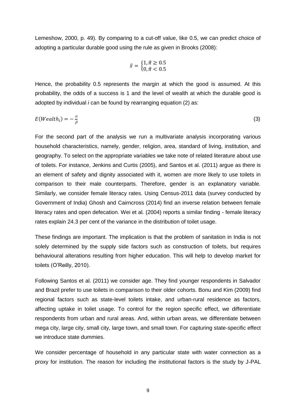Lemeshow, 2000, p. 49). By comparing to a cut-off value, like 0.5, we can predict choice of adopting a particular durable good using the rule as given in Brooks (2008):

$$
\hat{x} = \begin{cases} 1, \hat{\pi} \ge 0.5 \\ 0, \hat{\pi} < 0.5 \end{cases}
$$

Hence, the probability 0.5 represents the margin at which the good is assumed. At this probability, the odds of a success is 1 and the level of wealth at which the durable good is adopted by individual *i* can be found by rearranging equation (2) as:

$$
E(Wealthi) = -\frac{\alpha}{\beta}
$$
 (3)

For the second part of the analysis we run a multivariate analysis incorporating various household characteristics, namely, gender, religion, area, standard of living, institution, and geography. To select on the appropriate variables we take note of related literature about use of toilets. For instance, Jenkins and Curtis (2005), and Santos et al. (2011) argue as there is an element of safety and dignity associated with it, women are more likely to use toilets in comparison to their male counterparts. Therefore, gender is an explanatory variable. Similarly, we consider female literacy rates. Using Census-2011 data (survey conducted by Government of India) Ghosh and Cairncross (2014) find an inverse relation between female literacy rates and open defecation. Wei et al. (2004) reports a similar finding - female literacy rates explain 24.3 per cent of the variance in the distribution of toilet usage.

These findings are important. The implication is that the problem of sanitation in India is not solely determined by the supply side factors such as construction of toilets, but requires behavioural alterations resulting from higher education. This will help to develop market for toilets (O'Reilly, 2010).

Following Santos et al. (2011) we consider age. They find younger respondents in Salvador and Brazil prefer to use toilets in comparison to their older cohorts. Bonu and Kim (2009) find regional factors such as state-level toilets intake, and urban-rural residence as factors, affecting uptake in toilet usage. To control for the region specific effect, we differentiate respondents from urban and rural areas. And, within urban areas, we differentiate between mega city, large city, small city, large town, and small town. For capturing state-specific effect we introduce state dummies.

We consider percentage of household in any particular state with water connection as a proxy for institution. The reason for including the institutional factors is the study by J-PAL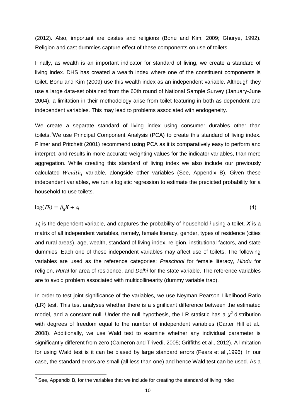(2012). Also, important are castes and religions (Bonu and Kim, 2009; Ghurye, 1992). Religion and cast dummies capture effect of these components on use of toilets.

Finally, as wealth is an important indicator for standard of living, we create a standard of living index. DHS has created a wealth index where one of the constituent components is toilet. Bonu and Kim (2009) use this wealth index as an independent variable. Although they use a large data-set obtained from the 60th round of National Sample Survey (January-June 2004), a limitation in their methodology arise from toilet featuring in both as dependent and independent variables. This may lead to problems associated with endogeneity.

We create a separate standard of living index using consumer durables other than toilets.<sup>3</sup>We use Principal Component Analysis (PCA) to create this standard of living index. Filmer and Pritchett (2001) recommend using PCA as it is comparatively easy to perform and interpret, and results in more accurate weighting values for the indicator variables, than mere aggregation. While creating this standard of living index we also include our previously calculated  $Weather_i$  variable, alongside other variables (See, Appendix B). Given these independent variables, we run a logistic regression to estimate the predicted probability for a household to use toilets.

$$
log(\Pi_i) = \beta_0 X + \varepsilon_i \tag{4}
$$

 $\Pi_i$  is the dependent variable, and captures the probability of household *i* using a toilet. **X** is a matrix of all independent variables, namely, female literacy, gender, types of residence (cities and rural areas), age, wealth, standard of living index, religion, institutional factors, and state dummies. Each one of these independent variables may affect use of toilets. The following variables are used as the reference categories: *Preschool* for female literacy, *Hindu* for religion, *Rural* for area of residence, and *Delhi* for the state variable. The reference variables are to avoid problem associated with multicollinearity (dummy variable trap).

In order to test joint significance of the variables, we use Neyman-Pearson Likelihood Ratio (LR) test. This test analyses whether there is a significant difference between the estimated model, and a constant null. Under the null hypothesis, the LR statistic has a  $\chi^2$  distribution with degrees of freedom equal to the number of independent variables (Carter Hill et al., 2008). Additionally, we use Wald test to examine whether any individual parameter is significantly different from zero (Cameron and Trivedi, 2005; Griffiths et al., 2012). A limitation for using Wald test is it can be biased by large standard errors (Fears et al.,1996). In our case, the standard errors are small (all less than one) and hence Wald test can be used. As a

 3 See, Appendix B, for the variables that we include for creating the standard of living index.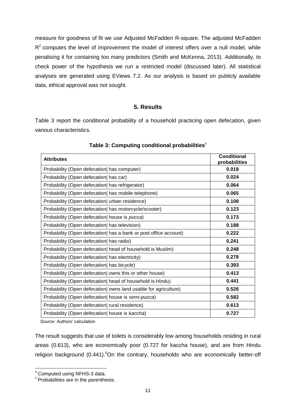measure for goodness of fit we use Adjusted McFadden R-square. The adjusted McFadden  $R<sup>2</sup>$  computes the level of improvement the model of interest offers over a null model, while penalising it for containing too many predictors (Smith and McKenna, 2013). Additionally, to check power of the hypothesis we run a restricted model (discussed later). All statistical analyses are generated using EViews 7.2. As our analysis is based on publicly available data, ethical approval was not sought.

## **5. Results**

<span id="page-15-0"></span>Table 3 report the conditional probability of a household practicing open defecation, given various characteristics.

<span id="page-15-1"></span>

| <b>Attributes</b>                                                | <b>Conditional</b><br>probabilities |
|------------------------------------------------------------------|-------------------------------------|
| Probability (Open defecation) has computer)                      | 0.018                               |
| Probability (Open defecation) has car)                           | 0.024                               |
| Probability (Open defecation) has refrigerator)                  | 0.064                               |
| Probability (Open defecation) has mobile telephone)              | 0.065                               |
| Probability (Open defecation) urban residence)                   | 0.108                               |
| Probability (Open defecation) has motorcycle/scooter)            | 0.123                               |
| Probability (Open defecation) house is pucca)                    | 0.173                               |
| Probability (Open defecation) has television)                    | 0.188                               |
| Probability (Open defecation) has a bank or post office account) | 0.222                               |
| Probability (Open defecation) has radio)                         | 0.241                               |
| Probability (Open defecation) head of household is Muslim)       | 0.248                               |
| Probability (Open defecation) has electricity)                   | 0.278                               |
| Probability (Open defecation) has bicycle)                       | 0.393                               |
| Probability (Open defecation) owns this or other house)          | 0.413                               |
| Probability (Open defecation) head of household is Hindu)        | 0.441                               |
| Probability (Open defecation) owns land usable for agriculture)  | 0.526                               |
| Probability (Open defecation) house is semi-pucca)               | 0.582                               |
| Probability (Open defecation) rural residence)                   | 0.613                               |
| Probability (Open defecation) house is kaccha)                   | 0.727                               |

## **Table 3: Computing conditional probabilities**<sup>4</sup>

 *Source:* Authors' calculation

The result suggests that use of toilets is considerably low among households residing in rural areas (0.613), who are economically poor (0.727 for kaccha house), and are from Hindu religion background  $(0.441)$ <sup>5</sup>On the contrary, households who are economically better-off

 $\overline{a}$ 

<sup>&</sup>lt;sup>4</sup> Computed using NFHS-3 data.

<sup>&</sup>lt;sup>5</sup> Probabilities are in the parenthesis.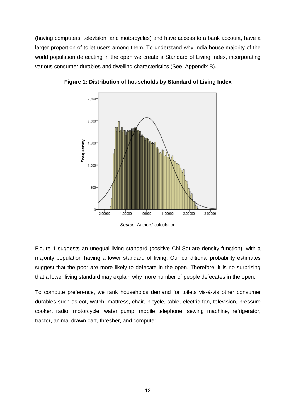(having computers, television, and motorcycles) and have access to a bank account, have a larger proportion of toilet users among them. To understand why India house majority of the world population defecating in the open we create a Standard of Living Index, incorporating various consumer durables and dwelling characteristics (See, Appendix B).



<span id="page-16-0"></span>**Figure 1: Distribution of households by Standard of Living Index**

Figure 1 suggests an unequal living standard (positive Chi-Square density function), with a majority population having a lower standard of living. Our conditional probability estimates suggest that the poor are more likely to defecate in the open. Therefore, it is no surprising that a lower living standard may explain why more number of people defecates in the open.

To compute preference, we rank households demand for toilets vis-à-vis other consumer durables such as cot, watch, mattress, chair, bicycle, table, electric fan, television, pressure cooker, radio, motorcycle, water pump, mobile telephone, sewing machine, refrigerator, tractor, animal drawn cart, thresher, and computer.

*Source:* Authors' calculation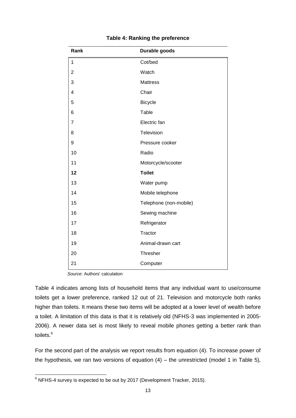<span id="page-17-0"></span>

| Rank           | Durable goods          |
|----------------|------------------------|
| 1              | Cot/bed                |
| $\overline{2}$ | Watch                  |
| 3              | <b>Mattress</b>        |
| 4              | Chair                  |
| 5              | <b>Bicycle</b>         |
| 6              | Table                  |
| 7              | Electric fan           |
| 8              | Television             |
| 9              | Pressure cooker        |
| 10             | Radio                  |
| 11             | Motorcycle/scooter     |
| 12             | <b>Toilet</b>          |
| 13             | Water pump             |
| 14             | Mobile telephone       |
| 15             | Telephone (non-mobile) |
| 16             | Sewing machine         |
| 17             | Refrigerator           |
| 18             | Tractor                |
| 19             | Animal-drawn cart      |
| 20             | Thresher               |
| 21             | Computer               |

## **Table 4: Ranking the preference**

 *Source:* Authors' calculation

Table 4 indicates among lists of household items that any individual want to use/consume toilets get a lower preference, ranked 12 out of 21. Television and motorcycle both ranks higher than toilets. It means these two items will be adopted at a lower level of wealth before a toilet. A limitation of this data is that it is relatively old (NFHS-3 was implemented in 2005- 2006). A newer data set is most likely to reveal mobile phones getting a better rank than toilets.<sup>6</sup>

For the second part of the analysis we report results from equation (4). To increase power of the hypothesis, we ran two versions of equation  $(4)$  – the unrestricted (model 1 in Table 5),

 $\overline{\phantom{a}}$  $^6$  NFHS-4 survey is expected to be out by 2017 (Development Tracker, 2015).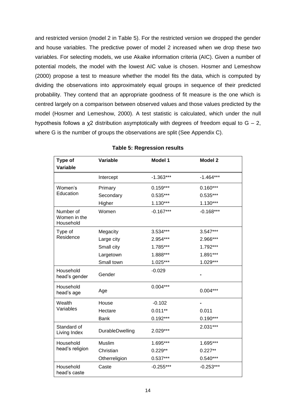and restricted version (model 2 in Table 5). For the restricted version we dropped the gender and house variables. The predictive power of model 2 increased when we drop these two variables. For selecting models, we use Akaike information criteria (AIC). Given a number of potential models, the model with the lowest AIC value is chosen. Hosmer and Lemeshow (2000) propose a test to measure whether the model fits the data, which is computed by dividing the observations into approximately equal groups in sequence of their predicted probability. They contend that an appropriate goodness of fit measure is the one which is centred largely on a comparison between observed values and those values predicted by the model (Hosmer and Lemeshow, 2000). A test statistic is calculated, which under the null hypothesis follows a  $x^2$  distribution asymptotically with degrees of freedom equal to  $G - 2$ , where G is the number of groups the observations are split (See Appendix C).

<span id="page-18-0"></span>

| Type of<br>Variable                    | Variable        | Model 1     | <b>Model 2</b> |
|----------------------------------------|-----------------|-------------|----------------|
|                                        | Intercept       | $-1.363***$ | $-1.464***$    |
| Women's                                | Primary         | $0.159***$  | $0.160***$     |
| Education                              | Secondary       | $0.535***$  | $0.535***$     |
|                                        | Higher          | $1.130***$  | $1.130***$     |
| Number of<br>Women in the<br>Household | Women           | $-0.167***$ | $-0.168***$    |
| Type of                                | Megacity        | 3.534***    | 3.547***       |
| Residence                              | Large city      | 2.954***    | 2.966***       |
|                                        | Small city      | 1.785***    | 1.792***       |
|                                        | Largetown       | 1.888***    | 1.891***       |
|                                        | Small town      | 1.025***    | 1.029***       |
| Household<br>head's gender             | Gender          | $-0.029$    |                |
| Household<br>head's age                | Age             | $0.004***$  | $0.004***$     |
| Wealth                                 | House           | $-0.102$    |                |
| Variables                              | Hectare         | $0.011**$   | 0.011          |
|                                        | <b>Bank</b>     | $0.192***$  | $0.190***$     |
| Standard of<br>Living Index            | DurableDwelling | 2.029***    | $2.031***$     |
| Household                              | Muslim          | 1.695***    | 1.695***       |
| head's religion                        | Christian       | $0.229**$   | $0.227**$      |
|                                        | Otherreligion   | $0.537***$  | $0.540***$     |
| Household<br>head's caste              | Caste           | $-0.255***$ | $-0.253***$    |

|  |  | <b>Table 5: Regression results</b> |  |
|--|--|------------------------------------|--|
|--|--|------------------------------------|--|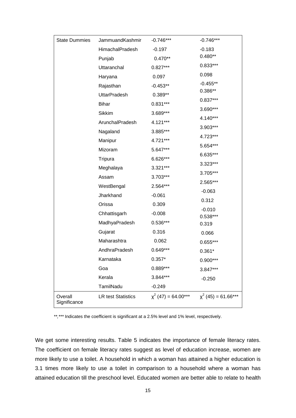| <b>State Dummies</b>    | JammuandKashmir           | $-0.746***$            | $-0.746***$              |
|-------------------------|---------------------------|------------------------|--------------------------|
|                         | HimachalPradesh           | $-0.197$               | $-0.183$                 |
|                         | Punjab                    | $0.470**$              | $0.480**$                |
|                         | Uttaranchal               | $0.827***$             | $0.833***$               |
|                         | Haryana                   | 0.097                  | 0.098                    |
|                         | Rajasthan                 | $-0.453**$             | $-0.455**$               |
|                         | <b>UttarPradesh</b>       | $0.389**$              | $0.386**$                |
|                         | <b>Bihar</b>              | $0.831***$             | $0.837***$               |
|                         | Sikkim                    | 3.689***               | 3.690***                 |
|                         | ArunchalPradesh           | 4.121***               | 4.140***                 |
|                         | Nagaland                  | 3.885***               | 3.903***                 |
|                         | Manipur                   | 4.721***               | 4.723***                 |
|                         | Mizoram                   | 5.647***               | 5.654***                 |
|                         | Tripura                   | $6.626***$             | 6.635***                 |
|                         | Meghalaya                 | $3.321***$             | 3.323***                 |
|                         | Assam                     | 3.703***               | 3.705***                 |
|                         | WestBengal                | 2.564***               | 2.565***                 |
|                         | Jharkhand                 | $-0.061$               | $-0.063$                 |
|                         | Orissa                    | 0.309                  | 0.312                    |
|                         | Chhattisgarh              | $-0.008$               | $-0.010$                 |
|                         | MadhyaPradesh             | $0.536***$             | $0.538***$<br>0.319      |
|                         | Gujarat                   | 0.316                  | 0.066                    |
|                         | Maharashtra               | 0.062                  | $0.655***$               |
|                         | AndhraPradesh             | $0.649***$             | $0.361*$                 |
|                         | Karnataka                 | $0.357*$               | 0.900***                 |
|                         | Goa                       | 0.889***               | 3.847***                 |
|                         | Kerala                    | 3.844***               | $-0.250$                 |
|                         | TamilNadu                 | $-0.249$               |                          |
| Overall<br>Significance | <b>LR test Statistics</b> | $x^{2}(47) = 64.00***$ | $\chi^2$ (45) = 61.66*** |

\*\*, \*\*\* Indicates the coefficient is significant at a 2.5% level and 1% level, respectively.

We get some interesting results. Table 5 indicates the importance of female literacy rates. The coefficient on female literacy rates suggest as level of education increase, women are more likely to use a toilet. A household in which a woman has attained a higher education is 3.1 times more likely to use a toilet in comparison to a household where a woman has attained education till the preschool level. Educated women are better able to relate to health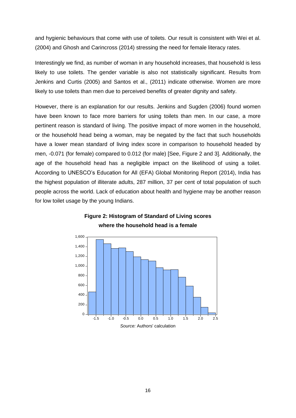and hygienic behaviours that come with use of toilets. Our result is consistent with Wei et al. (2004) and Ghosh and Carincross (2014) stressing the need for female literacy rates.

Interestingly we find, as number of woman in any household increases, that household is less likely to use toilets. The gender variable is also not statistically significant. Results from Jenkins and Curtis (2005) and Santos et al., (2011) indicate otherwise. Women are more likely to use toilets than men due to perceived benefits of greater dignity and safety.

However, there is an explanation for our results. Jenkins and Sugden (2006) found women have been known to face more barriers for using toilets than men. In our case, a more pertinent reason is standard of living. The positive impact of more women in the household, or the household head being a woman, may be negated by the fact that such households have a lower mean standard of living index score in comparison to household headed by men, -0.071 (for female) compared to 0.012 (for male) [See, Figure 2 and 3]. Additionally, the age of the household head has a negligible impact on the likelihood of using a toilet. According to UNESCO's Education for All (EFA) Global Monitoring Report (2014), India has the highest population of illiterate adults, 287 million, 37 per cent of total population of such people across the world. Lack of education about health and hygiene may be another reason for low toilet usage by the young Indians.

<span id="page-20-0"></span>

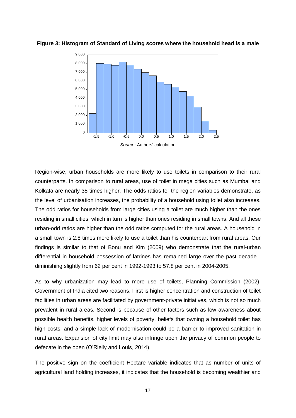

<span id="page-21-0"></span>**Figure 3: Histogram of Standard of Living scores where the household head is a male**

Region-wise, urban households are more likely to use toilets in comparison to their rural counterparts. In comparison to rural areas, use of toilet in mega cities such as Mumbai and Kolkata are nearly 35 times higher. The odds ratios for the region variables demonstrate, as the level of urbanisation increases, the probability of a household using toilet also increases. The odd ratios for households from large cities using a toilet are much higher than the ones residing in small cities, which in turn is higher than ones residing in small towns. And all these urban-odd ratios are higher than the odd ratios computed for the rural areas. A household in a small town is 2.8 times more likely to use a toilet than his counterpart from rural areas. Our findings is similar to that of Bonu and Kim (2009) who demonstrate that the rural-urban differential in household possession of latrines has remained large over the past decade diminishing slightly from 62 per cent in 1992-1993 to 57.8 per cent in 2004-2005.

As to why urbanization may lead to more use of toilets, Planning Commission (2002), Government of India cited two reasons. First is higher concentration and construction of toilet facilities in urban areas are facilitated by government-private initiatives, which is not so much prevalent in rural areas. Second is because of other factors such as low awareness about possible health benefits, higher levels of poverty, beliefs that owning a household toilet has high costs, and a simple lack of modernisation could be a barrier to improved sanitation in rural areas. Expansion of city limit may also infringe upon the privacy of common people to defecate in the open (O'Rielly and Louis, 2014).

The positive sign on the coefficient Hectare variable indicates that as number of units of agricultural land holding increases, it indicates that the household is becoming wealthier and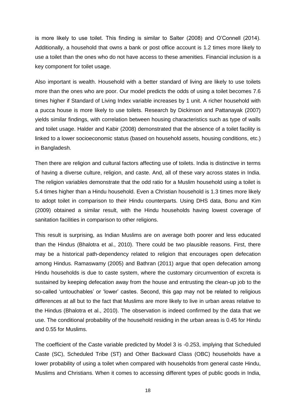is more likely to use toilet. This finding is similar to Salter (2008) and O'Connell (2014). Additionally, a household that owns a bank or post office account is 1.2 times more likely to use a toilet than the ones who do not have access to these amenities. Financial inclusion is a key component for toilet usage.

Also important is wealth. Household with a better standard of living are likely to use toilets more than the ones who are poor. Our model predicts the odds of using a toilet becomes 7.6 times higher if Standard of Living Index variable increases by 1 unit. A richer household with a pucca house is more likely to use toilets. Research by Dickinson and Pattanayak (2007) yields similar findings, with correlation between housing characteristics such as type of walls and toilet usage. Halder and Kabir (2008) demonstrated that the absence of a toilet facility is linked to a lower socioeconomic status (based on household assets, housing conditions, etc.) in Bangladesh.

Then there are religion and cultural factors affecting use of toilets. India is distinctive in terms of having a diverse culture, religion, and caste. And, all of these vary across states in India. The religion variables demonstrate that the odd ratio for a Muslim household using a toilet is 5.4 times higher than a Hindu household. Even a Christian household is 1.3 times more likely to adopt toilet in comparison to their Hindu counterparts. Using DHS data, Bonu and Kim (2009) obtained a similar result, with the Hindu households having lowest coverage of sanitation facilities in comparison to other religions.

This result is surprising, as Indian Muslims are on average both poorer and less educated than the Hindus (Bhalotra et al., 2010). There could be two plausible reasons. First, there may be a historical path-dependency related to religion that encourages open defecation among Hindus. Ramaswamy (2005) and Bathran (2011) argue that open defecation among Hindu households is due to caste system, where the customary circumvention of excreta is sustained by keeping defecation away from the house and entrusting the clean-up job to the so-called 'untouchables' or 'lower' castes. Second, this gap may not be related to religious differences at all but to the fact that Muslims are more likely to live in urban areas relative to the Hindus (Bhalotra et al., 2010). The observation is indeed confirmed by the data that we use. The conditional probability of the household residing in the urban areas is 0.45 for Hindu and 0.55 for Muslims.

The coefficient of the Caste variable predicted by Model 3 is -0.253, implying that Scheduled Caste (SC), Scheduled Tribe (ST) and Other Backward Class (OBC) households have a lower probability of using a toilet when compared with households from general caste Hindu, Muslims and Christians. When it comes to accessing different types of public goods in India,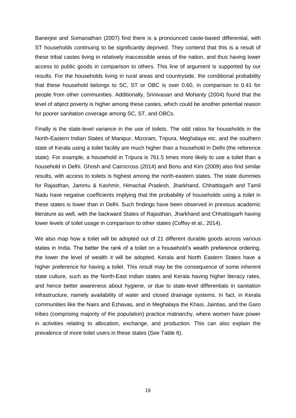Banerjee and Somanathan (2007) find there is a pronounced caste-based differential, with ST households continuing to be significantly deprived. They contend that this is a result of these tribal castes living in relatively inaccessible areas of the nation, and thus having lower access to public goods in comparison to others. This line of argument is supported by our results. For the households living in rural areas and countryside, the conditional probability that these household belongs to SC, ST or OBC is over 0.60, in comparison to 0.41 for people from other communities. Additionally, Srinivasan and Mohanty (2004) found that the level of abject poverty is higher among these castes, which could be another potential reason for poorer sanitation coverage among SC, ST, and OBCs.

Finally is the state-level variance in the use of toilets. The odd ratios for households in the North-Eastern Indian States of Manipur, Mizoram, Tripura, Meghalaya etc. and the southern state of Kerala using a toilet facility are much higher than a household in Delhi (the reference state). For example, a household in Tripura is 761.5 times more likely to use a toilet than a household in Delhi. Ghosh and Cairncross (2014) and Bonu and Kim (2009) also find similar results, with access to toilets is highest among the north-eastern states. The state dummies for Rajasthan, Jammu & Kashmir, Himachal Pradesh, Jharkhand, Chhattisgarh and Tamil Nadu have negative coefficients implying that the probability of households using a toilet in these states is lower than in Delhi. Such findings have been observed in previous academic literature as well, with the backward States of Rajasthan, Jharkhand and Chhattisgarh having lower levels of toilet usage in comparison to other states (Coffey et al., 2014).

We also map how a toilet will be adopted out of 21 different durable goods across various states in India. The better the rank of a toilet on a household's wealth preference ordering, the lower the level of wealth it will be adopted. Kerala and North Eastern States have a higher preference for having a toilet. This result may be the consequence of some inherent state culture, such as the North-East Indian states and Kerala having higher literacy rates, and hence better awareness about hygiene, or due to state-level differentials in sanitation infrastructure, namely availability of water and closed drainage systems. In fact, in Kerala communities like the Nairs and Ezhavas, and in Meghalaya the Khasi, Jaintias, and the Garo tribes (comprising majority of the population) practice matriarchy, where women have power in activities relating to allocation, exchange, and production. This can also explain the prevalence of more toilet users in these states (See Table 6).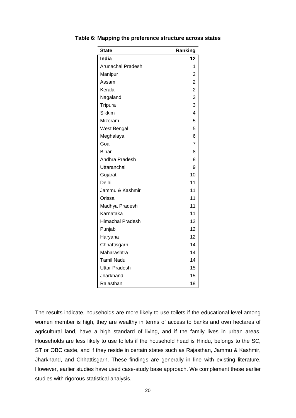| <b>State</b>             | Ranking        |
|--------------------------|----------------|
| India                    | 12             |
| <b>Arunachal Pradesh</b> | 1              |
| Manipur                  | 2              |
| Assam                    | $\overline{2}$ |
| Kerala                   | $\overline{2}$ |
| Nagaland                 | 3              |
| Tripura                  | 3              |
| <b>Sikkim</b>            | 4              |
| Mizoram                  | 5              |
| West Bengal              | 5              |
| Meghalaya                | 6              |
| Goa                      | $\overline{7}$ |
| <b>Bihar</b>             | 8              |
| Andhra Pradesh           | 8              |
| Uttaranchal              | 9              |
| Gujarat                  | 10             |
| Delhi                    | 11             |
| Jammu & Kashmir          | 11             |
| Orissa                   | 11             |
| Madhya Pradesh           | 11             |
| Karnataka                | 11             |
| <b>Himachal Pradesh</b>  | 12             |
| Punjab                   | 12             |
| Haryana                  | 12             |
| Chhattisgarh             | 14             |
| Maharashtra              | 14             |
| <b>Tamil Nadu</b>        | 14             |
| <b>Uttar Pradesh</b>     | 15             |
| Jharkhand                | 15             |
| Rajasthan                | 18             |

<span id="page-24-0"></span>**Table 6: Mapping the preference structure across states**

The results indicate, households are more likely to use toilets if the educational level among women member is high, they are wealthy in terms of access to banks and own hectares of agricultural land, have a high standard of living, and if the family lives in urban areas. Households are less likely to use toilets if the household head is Hindu, belongs to the SC, ST or OBC caste, and if they reside in certain states such as Rajasthan, Jammu & Kashmir, Jharkhand, and Chhattisgarh. These findings are generally in line with existing literature. However, earlier studies have used case-study base approach. We complement these earlier studies with rigorous statistical analysis.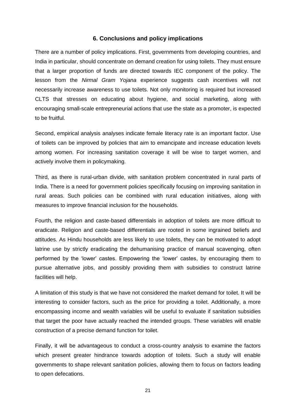#### **6. Conclusions and policy implications**

<span id="page-25-0"></span>There are a number of policy implications. First, governments from developing countries, and India in particular, should concentrate on demand creation for using toilets. They must ensure that a larger proportion of funds are directed towards IEC component of the policy. The lesson from the *Nirmal Gram Yojana* experience suggests cash incentives will not necessarily increase awareness to use toilets. Not only monitoring is required but increased CLTS that stresses on educating about hygiene, and social marketing, along with encouraging small-scale entrepreneurial actions that use the state as a promoter, is expected to be fruitful.

Second, empirical analysis analyses indicate female literacy rate is an important factor. Use of toilets can be improved by policies that aim to emancipate and increase education levels among women. For increasing sanitation coverage it will be wise to target women, and actively involve them in policymaking.

Third, as there is rural-urban divide, with sanitation problem concentrated in rural parts of India. There is a need for government policies specifically focusing on improving sanitation in rural areas. Such policies can be combined with rural education initiatives, along with measures to improve financial inclusion for the households.

Fourth, the religion and caste-based differentials in adoption of toilets are more difficult to eradicate. Religion and caste-based differentials are rooted in some ingrained beliefs and attitudes. As Hindu households are less likely to use toilets, they can be motivated to adopt latrine use by strictly eradicating the dehumanising practice of manual scavenging, often performed by the 'lower' castes. Empowering the 'lower' castes, by encouraging them to pursue alternative jobs, and possibly providing them with subsidies to construct latrine facilities will help.

A limitation of this study is that we have not considered the market demand for toilet. It will be interesting to consider factors, such as the price for providing a toilet. Additionally, a more encompassing income and wealth variables will be useful to evaluate if sanitation subsidies that target the poor have actually reached the intended groups. These variables will enable construction of a precise demand function for toilet.

Finally, it will be advantageous to conduct a cross-country analysis to examine the factors which present greater hindrance towards adoption of toilets. Such a study will enable governments to shape relevant sanitation policies, allowing them to focus on factors leading to open defecations.

21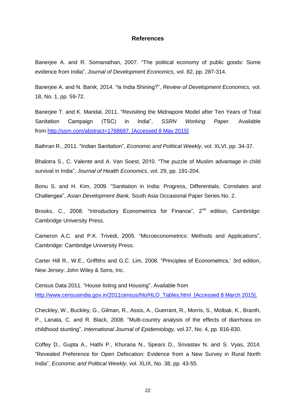#### **References**

<span id="page-26-0"></span>Banerjee A. and R. Somanathan, 2007. "The political economy of public goods: Some evidence from India", *Journal of Development Economics*, vol. 82, pp. 287-314.

Banerjee A. and N. Banik, 2014. "Is India Shining?", *Review of Development Economics,* vol. 18, No. 1, pp. 59-72.

Banerjee T. and K. Mandal, 2011. "Revisiting the Midnapore Model after Ten Years of Total Sanitation Campaign (TSC) in India", *SSRN Working Paper*. Available from [http://ssrn.com/abstract=1768687.](http://ssrn.com/abstract=1768687) [Accessed 8 May 2015]

Bathran R., 2011. "Indian Sanitation", *Economic and Political Weekly*, vol. XLVI, pp. 34-37.

Bhalotra S., C. Valente and A. Van Soest, 2010. "The puzzle of Muslim advantage in child survival in India", *Journal of Health Economics*, vol. 29, pp. 191-204.

Bonu S. and H. Kim, 2009. "Sanitation in India: Progress, Differentials, Correlates and Challenges", *Asian Development Bank*, South Asia Occasional Paper Series No. 2.

Brooks, C., 2008. "Introductory Econometrics for Finance", 2<sup>nd</sup> edition, Cambridge: Cambridge University Press.

Cameron A.C. and P.K. Trivedi, 2005. "Microeconometrics: Methods and Applications", Cambridge: Cambridge University Press.

Carter Hill R., W.E., Griffiths and G.C. Lim, 2008. "Principles of Econometrics,' 3rd edition, New Jersey: John Wiley & Sons, Inc.

Census Data 2011. "House listing and Housing". Available from [http://www.censusindia.gov.in/2011census/hlo/HLO\\_Tables.html](http://www.censusindia.gov.in/2011census/hlo/HLO_Tables.html) [Accessed 8 March 2015].

Checkley, W., Buckley, G., Gilman, R., Assis, A., Guerrant, R., Morris, S., Molbak, K., Branth, P., Lanata, C. and R. Black, 2008. "Multi-country analysis of the effects of diarrhoea on childhood stunting", *International Journal of Epidemiology,* vol.37, No. 4, pp. 816-830.

Coffey D., Gupta A., Hathi P., Khurana N., Spears D., Srivastav N. and S. Vyas, 2014. "Revealed Preference for Open Defecation: Evidence from a New Survey in Rural North India", *Economic and Political Weekly*, vol. XLIX, No. 38, pp. 43-55.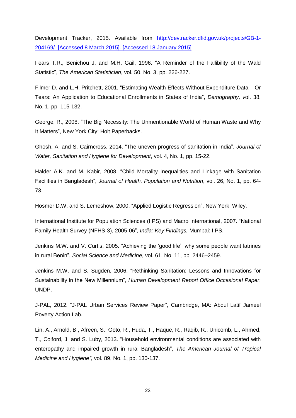Development Tracker, 2015. Available from [http://devtracker.dfid.gov.uk/projects/GB-1-](http://devtracker.dfid.gov.uk/projects/GB-1-204169/) [204169/](http://devtracker.dfid.gov.uk/projects/GB-1-204169/) [Accessed 8 March 2015]. [Accessed 18 January 2015]

Fears T.R., Benichou J. and M.H. Gail, 1996. "A Reminder of the Fallibility of the Wald Statistic", *The American Statistician*, vol. 50, No. 3, pp. 226-227.

Filmer D. and L.H. Pritchett, 2001. "Estimating Wealth Effects Without Expenditure Data – Or Tears: An Application to Educational Enrollments in States of India", *Demography, v*ol. 38, No. 1, pp. 115-132.

George, R., 2008. "The Big Necessity: The Unmentionable World of Human Waste and Why It Matters", New York City: Holt Paperbacks.

Ghosh, A. and S. Cairncross, 2014. "The uneven progress of sanitation in India", *Journal of Water, Sanitation and Hygiene for Development*, vol. 4, No. 1, pp. 15-22.

Halder A.K. and M. Kabir, 2008. "Child Mortality Inequalities and Linkage with Sanitation Facilities in Bangladesh", *Journal of Health, Population and Nutrition*, vol. 26, No. 1, pp. 64- 73.

Hosmer D.W. and S. Lemeshow, 2000. "Applied Logistic Regression", New York: Wiley.

International Institute for Population Sciences (IIPS) and Macro International, 2007. "National Family Health Survey (NFHS-3), 2005-06", *India: Key Findings,* Mumbai: IIPS.

Jenkins M.W. and V. Curtis, 2005. "Achieving the 'good life': why some people want latrines in rural Benin", *Social Science and Medicine*, vol. 61, No. 11, pp. 2446–2459.

Jenkins M.W. and S. Sugden, 2006. "Rethinking Sanitation: Lessons and Innovations for Sustainability in the New Millennium"*, Human Development Report Office Occasional Paper*, UNDP.

J-PAL, 2012. "J-PAL Urban Services Review Paper", Cambridge, MA: Abdul Latif Jameel Poverty Action Lab.

Lin, A., Arnold, B., Afreen, S., Goto, R., Huda, T., Haque, R., Raqib, R., Unicomb, L., Ahmed, T., Colford, J. and S. Luby, 2013. "Household environmental conditions are associated with enteropathy and impaired growth in rural Bangladesh", *The American Journal of Tropical Medicine and Hygiene",* vol. 89, No. 1, pp. 130-137.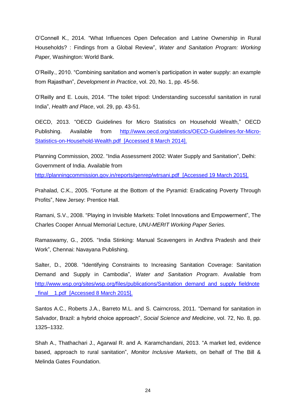O'Connell K., 2014. "What Influences Open Defecation and Latrine Ownership in Rural Households? : Findings from a Global Review", *Water and Sanitation Program: Working Paper,* Washington: World Bank.

O'Reilly., 2010. "Combining sanitation and women's participation in water supply: an example from Rajasthan", *Development in Practice*, vol. 20, No. 1, pp. 45-56.

O'Reilly and E. Louis, 2014. "The toilet tripod: Understanding successful sanitation in rural India", *Health and Place*, vol. 29, pp. 43-51.

OECD, 2013. "OECD Guidelines for Micro Statistics on Household Wealth," OECD Publishing. Available from [http://www.oecd.org/statistics/OECD-Guidelines-for-Micro-](http://www.oecd.org/statistics/OECD-Guidelines-for-Micro-Statistics-on-Household-Wealth.pdf)[Statistics-on-Household-Wealth.pdf](http://www.oecd.org/statistics/OECD-Guidelines-for-Micro-Statistics-on-Household-Wealth.pdf) [Accessed 8 March 2014].

Planning Commission, 2002. "India Assessment 2002: Water Supply and Sanitation", Delhi: Government of India. Available from <http://planningcommission.gov.in/reports/genrep/wtrsani.pdf>[Accessed 19 March 2015].

Prahalad, C.K., 2005. "Fortune at the Bottom of the Pyramid: Eradicating Poverty Through Profits", New Jersey: Prentice Hall.

Ramani, S.V., 2008. "Playing in Invisible Markets: Toilet Innovations and Empowerment", The Charles Cooper Annual Memorial Lecture, *UNU-MERIT Working Paper Series.*

Ramaswamy, G., 2005. "India Stinking: Manual Scavengers in Andhra Pradesh and their Work", Chennai: Navayana Publishing.

Salter, D., 2008. "Identifying Constraints to Increasing Sanitation Coverage: Sanitation Demand and Supply in Cambodia", *Water and Sanitation Program*. Available from [http://www.wsp.org/sites/wsp.org/files/publications/Sanitation\\_demand\\_and\\_supply\\_fieldnote](http://www.wsp.org/sites/wsp.org/files/publications/Sanitation_demand_and_supply_fieldnote_final__1.pdf) final 1.pdf [Accessed 8 March 2015].

Santos A.C., Roberts J.A., Barreto M.L. and S. Cairncross, 2011. "Demand for sanitation in Salvador, Brazil: a hybrid choice approach", *Social Science and Medicine*, vol. 72, No. 8, pp. 1325–1332.

Shah A., Thathachari J., Agarwal R. and A. Karamchandani, 2013. "A market led, evidence based, approach to rural sanitation", *Monitor Inclusive Markets*, on behalf of The Bill & Melinda Gates Foundation.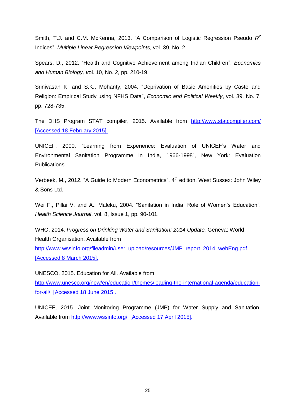Smith, T.J. and C.M. McKenna, 2013. "A Comparison of Logistic Regression Pseudo R<sup>2</sup> Indices", *Multiple Linear Regression Viewpoints*, vol. 39, No. 2.

Spears, D., 2012. "Health and Cognitive Achievement among Indian Children", *Economics and Human Biology, v*ol. 10, No. 2, pp. 210-19.

Srinivasan K. and S.K., Mohanty, 2004. "Deprivation of Basic Amenities by Caste and Religion: Empirical Study using NFHS Data", *Economic and Political Weekly*, vol. 39, No. 7, pp. 728-735.

The DHS Program STAT compiler, 2015. Available from <http://www.statcompiler.com/> [Accessed 18 February 2015].

UNICEF, 2000. "Learning from Experience: Evaluation of UNICEF's Water and Environmental Sanitation Programme in India, 1966-1998", New York: Evaluation Publications.

Verbeek, M., 2012. "A Guide to Modern Econometrics", 4<sup>th</sup> edition, West Sussex: John Wiley & Sons Ltd.

Wei F., Pillai V. and A., Maleku, 2004. "Sanitation in India: Role of Women's Education", *Health Science Journal*, vol. 8, Issue 1, pp. 90-101.

WHO, 2014. *Progress on Drinking Water and Sanitation: 2014 Update,* Geneva: World Health Organisation. Available from

http://www.wssinfo.org/fileadmin/user\_upload/resources/JMP\_report\_2014\_webEng.pdf [Accessed 8 March 2015].

UNESCO, 2015. Education for All. Available from [http://www.unesco.org/new/en/education/themes/leading-the-international-agenda/education](http://www.unesco.org/new/en/education/themes/leading-the-international-agenda/education-for-all/)[for-all/.](http://www.unesco.org/new/en/education/themes/leading-the-international-agenda/education-for-all/) [Accessed 18 June 2015].

UNICEF, 2015. Joint Monitoring Programme (JMP) for Water Supply and Sanitation. Available from <http://www.wssinfo.org/>[Accessed 17 April 2015].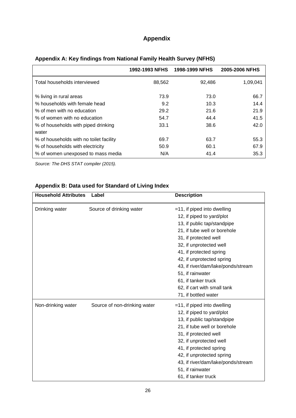| <b>Appendix</b> |  |
|-----------------|--|
|                 |  |

|                                         | 1992-1993 NFHS | 1998-1999 NFHS | 2005-2006 NFHS |
|-----------------------------------------|----------------|----------------|----------------|
| Total households interviewed            | 88,562         | 92,486         | 1,09,041       |
| % living in rural areas                 | 73.9           | 73.0           | 66.7           |
| % households with female head           | 9.2            | 10.3           | 14.4           |
| % of men with no education              | 29.2           | 21.6           | 21.9           |
| % of women with no education            | 54.7           | 44.4           | 41.5           |
| % of households with piped drinking     | 33.1           | 38.6           | 42.0           |
| water                                   |                |                |                |
| % of households with no toilet facility | 69.7           | 63.7           | 55.3           |
| % of households with electricity        | 50.9           | 60.1           | 67.9           |
| % of women unexposed to mass media      | N/A            | 41.4           | 35.3           |

# <span id="page-30-0"></span>**Appendix A: Key findings from National Family Health Survey (NFHS)**

*Source: The DHS STAT compiler (2015).* 

# **Appendix B: Data used for Standard of Living Index**

| <b>Household Attributes</b> | Label                        | <b>Description</b>                 |
|-----------------------------|------------------------------|------------------------------------|
| Drinking water              | Source of drinking water     | $=$ 11, if piped into dwelling     |
|                             |                              | 12, if piped to yard/plot          |
|                             |                              | 13, if public tap/standpipe        |
|                             |                              | 21, if tube well or borehole       |
|                             |                              | 31, if protected well              |
|                             |                              | 32, if unprotected well            |
|                             |                              | 41, if protected spring            |
|                             |                              | 42, if unprotected spring          |
|                             |                              | 43, if river/dam/lake/ponds/stream |
|                             |                              | 51, if rainwater                   |
|                             |                              | 61, if tanker truck                |
|                             |                              | 62, if cart with small tank        |
|                             |                              | 71, if bottled water               |
| Non-drinking water          | Source of non-drinking water | $=$ 11, if piped into dwelling     |
|                             |                              | 12, if piped to yard/plot          |
|                             |                              | 13, if public tap/standpipe        |
|                             |                              | 21, if tube well or borehole       |
|                             |                              | 31, if protected well              |
|                             |                              | 32, if unprotected well            |
|                             |                              | 41, if protected spring            |
|                             |                              | 42, if unprotected spring          |
|                             |                              | 43, if river/dam/lake/ponds/stream |
|                             |                              | 51, if rainwater                   |
|                             |                              | 61, if tanker truck                |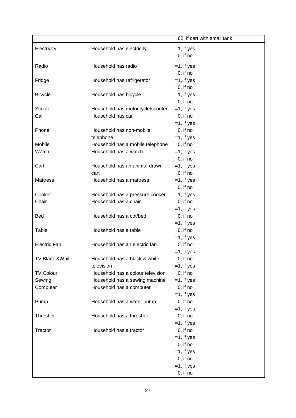|                     |                                                           | 62, if cart with small tank  |
|---------------------|-----------------------------------------------------------|------------------------------|
| Electricity         | Household has electricity                                 | $=1$ , if yes                |
|                     |                                                           | $0$ , if no                  |
|                     |                                                           |                              |
| Radio               | Household has radio                                       | $=1$ , if yes                |
|                     |                                                           | $0$ , if no                  |
| Fridge              | Household has refrigerator                                | $=1$ , if yes                |
|                     |                                                           | $0$ , if no                  |
| <b>Bicycle</b>      | Household has bicycle                                     | $=1$ , if yes                |
|                     |                                                           | $0$ , if no                  |
| Scooter             | Household has motorcycle/scooter                          | $=1$ , if yes                |
| Car                 | Household has car                                         | $0$ , if no                  |
| Phone               | Household has non-mobile                                  | $=1$ , if yes                |
|                     |                                                           | $0$ , if no                  |
| Mobile              | telephone                                                 | $=1$ , if yes                |
| Watch               | Household has a mobile telephone<br>Household has a watch | $0$ , if no<br>$=1$ , if yes |
|                     |                                                           | $0$ , if no                  |
| Cart                | Household has an animal-drawn                             | $=1$ , if yes                |
|                     | cart                                                      | $0$ , if no                  |
| <b>Mattress</b>     | Household has a mattress                                  | $=1$ , if yes                |
|                     |                                                           | $0$ , if no                  |
| Cooker              | Household has a pressure cooker                           | $=1$ , if yes                |
| Chair               | Household has a chair                                     | $0$ , if no                  |
|                     |                                                           | $=1$ , if yes                |
| <b>Bed</b>          | Household has a cot/bed                                   | $0$ , if no                  |
|                     |                                                           | $=1$ , if yes                |
| Table               | Household has a table                                     | $0$ , if no                  |
|                     |                                                           | $=1$ , if yes                |
| <b>Electric Fan</b> | Household has an electric fan                             | $0$ , if no                  |
|                     |                                                           | $=1$ , if yes                |
| TV Black &White     | Household has a black & white                             | $0,$ if no                   |
|                     | television                                                | $=1$ , if yes                |
| <b>TV Colour</b>    | Household has a colour television                         | $0$ , if no                  |
| Sewing              | Household has a sewing machine                            | $=1$ , if yes                |
| Computer            | Household has a computer                                  | $0$ , if no                  |
|                     |                                                           | $=1$ , if yes                |
| Pump                | Household has a water pump                                | $0$ , if no                  |
|                     |                                                           | $=1$ , if yes                |
| Thresher            | Household has a thresher                                  | $0$ , if no                  |
|                     |                                                           | $=1$ , if yes                |
| Tractor             | Household has a tractor                                   | $0$ , if no                  |
|                     |                                                           | $=1$ , if yes                |
|                     |                                                           | $0$ , if no                  |
|                     |                                                           | $=1$ , if yes                |
|                     |                                                           | $0$ , if no                  |
|                     |                                                           | $=1$ , if yes                |
|                     |                                                           | $0$ , if no                  |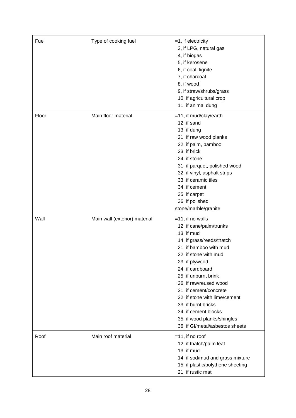| Fuel  | Type of cooking fuel          | $=1$ , if electricity<br>2, if LPG, natural gas<br>4, if biogas<br>5, if kerosene<br>6, if coal, lignite<br>7, if charcoal<br>8, if wood<br>9, if straw/shrubs/grass<br>10, if agricultural crop<br>11, if animal dung                                                                                                                                                                                           |
|-------|-------------------------------|------------------------------------------------------------------------------------------------------------------------------------------------------------------------------------------------------------------------------------------------------------------------------------------------------------------------------------------------------------------------------------------------------------------|
| Floor | Main floor material           | =11, if mud/clay/earth<br>12, if sand<br>13, if dung<br>21, if raw wood planks<br>22, if palm, bamboo<br>23, if brick<br>24, if stone<br>31, if parquet, polished wood<br>32, if vinyl, asphalt strips<br>33, if ceramic tiles<br>34, if cement<br>35, if carpet<br>36, if polished<br>stone/marble/granite                                                                                                      |
| Wall  | Main wall (exterior) material | $=11$ , if no walls<br>12, if cane/palm/trunks<br>13, if mud<br>14, if grass/reeds/thatch<br>21, if bamboo with mud<br>22, if stone with mud<br>23, if plywood<br>24, if cardboard<br>25, if unburnt brink<br>26, if raw/reused wood<br>31, if cement/concrete<br>32, if stone with lime/cement<br>33, if burnt bricks<br>34, if cement blocks<br>35, if wood planks/shingles<br>36, if Gl/metal/asbestos sheets |
| Roof  | Main roof material            | $=$ 11, if no roof<br>12, if thatch/palm leaf<br>13, if mud<br>14, if sod/mud and grass mixture<br>15, if plastic/polythene sheeting<br>21, if rustic mat                                                                                                                                                                                                                                                        |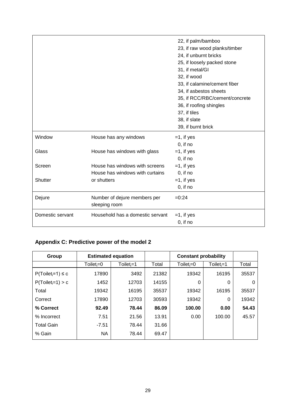|                  |                                               | 22, if palm/bamboo<br>23, if raw wood planks/timber<br>24, if unburnt bricks<br>25, if loosely packed stone<br>31, if metal/GI<br>32, if wood<br>33, if calamine/cement fiber<br>34, if asbestos sheets<br>35, if RCC/RBC/cement/concrete<br>36, if roofing shingles<br>37, if tiles<br>38, if slate<br>39, if burnt brick |
|------------------|-----------------------------------------------|----------------------------------------------------------------------------------------------------------------------------------------------------------------------------------------------------------------------------------------------------------------------------------------------------------------------------|
| Window           | House has any windows                         | $=1$ , if yes                                                                                                                                                                                                                                                                                                              |
|                  |                                               | $0$ , if no                                                                                                                                                                                                                                                                                                                |
| Glass            | House has windows with glass                  | $=1$ , if yes                                                                                                                                                                                                                                                                                                              |
|                  |                                               | $0$ , if no                                                                                                                                                                                                                                                                                                                |
| Screen           | House has windows with screens                | $=1$ , if yes                                                                                                                                                                                                                                                                                                              |
|                  | House has windows with curtains               | $0$ , if no                                                                                                                                                                                                                                                                                                                |
| Shutter          | or shutters                                   | $=1$ , if yes                                                                                                                                                                                                                                                                                                              |
|                  |                                               | $0$ , if no                                                                                                                                                                                                                                                                                                                |
| Dejure           | Number of dejure members per<br>sleeping room | $=0:24$                                                                                                                                                                                                                                                                                                                    |
| Domestic servant | Household has a domestic servant              | $=1$ , if yes                                                                                                                                                                                                                                                                                                              |
|                  |                                               | $0$ , if no                                                                                                                                                                                                                                                                                                                |

# **Appendix C: Predictive power of the model 2**

| Group                  | <b>Estimated equation</b> |                |       | <b>Constant probability</b> |              |       |
|------------------------|---------------------------|----------------|-------|-----------------------------|--------------|-------|
|                        | Toilet <sub>i</sub> =0    | $Toilet_i = 1$ | Total | $To$ ilet $=0$              | $Toilet_i=1$ | Total |
| $P(Toilet_i=1) \leq c$ | 17890                     | 3492           | 21382 | 19342                       | 16195        | 35537 |
| $P(Toilet_i=1) > c$    | 1452                      | 12703          | 14155 | 0                           | $\Omega$     | 0     |
| Total                  | 19342                     | 16195          | 35537 | 19342                       | 16195        | 35537 |
| Correct                | 17890                     | 12703          | 30593 | 19342                       | $\Omega$     | 19342 |
| % Correct              | 92.49                     | 78.44          | 86.09 | 100.00                      | 0.00         | 54.43 |
| % Incorrect            | 7.51                      | 21.56          | 13.91 | 0.00                        | 100.00       | 45.57 |
| <b>Total Gain</b>      | $-7.51$                   | 78.44          | 31.66 |                             |              |       |
| % Gain                 | <b>NA</b>                 | 78.44          | 69.47 |                             |              |       |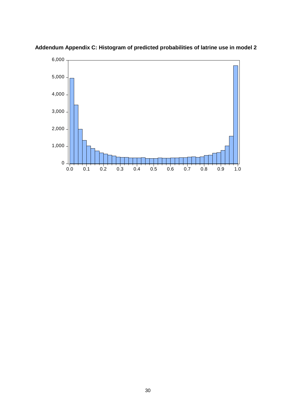

**Addendum Appendix C: Histogram of predicted probabilities of latrine use in model 2**